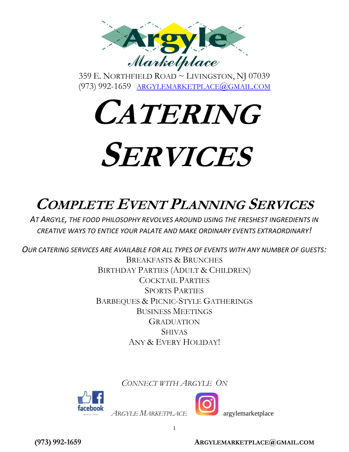

359 E. NORTHFIELD ROAD ~ LIVINGSTON, NJ 07039 (973) 992-1659 [ARGYLEMARKETPLACE](mailto:argylemarketplace@gmail.com)@GMAIL.COM

**CATERING SERVICES**

# **COMPLETE EVENT PLANNING SERVICES**

*AT ARGYLE, THE FOOD PHILOSOPHY REVOLVES AROUND USING THE FRESHEST INGREDIENTS IN CREATIVE WAYS TO ENTICE YOUR PALATE AND MAKE ORDINARY EVENTS EXTRAORDINARY!*

*OUR CATERING SERVICES ARE AVAILABLE FOR ALL TYPES OF EVENTS WITH ANY NUMBER OF GUESTS:* BREAKFASTS & BRUNCHES BIRTHDAY PARTIES (ADULT & CHILDREN) COCKTAIL PARTIES SPORTS PARTIES BARBEQUES & PICNIC-STYLE GATHERINGS BUSINESS MEETINGS **GRADUATION** SHIVAS ANY & EVERY HOLIDAY!

*CONNECT WITH ARGYLE ON* 

1



*ARGYLE MARKETPLACE* argylemarketplace

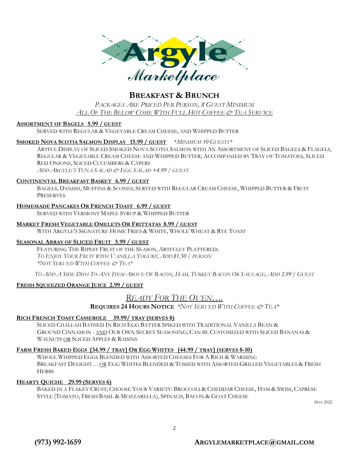

*PACKAGES ARE PRICED PER PERSON, 8 GUEST MINIMUM ALL OF THE BELOW COME WITH FULL HOT COFFEE & TEA SERVICE*

#### **ASSORTMENT OF BAGELS 5.99 / GUEST**

SERVED WITH REGULAR & VEGETABLE CREAM CHEESE, AND WHIPPED BUTTER

#### **SMOKED NOVA SCOTIA SALMON DISPLAY 15.99 / GUEST** \**MINIMUM 10 GUESTS\**

ARTFUL DISPLAY OF SLICED SMOKED NOVA SCOTIA SALMON WITH AN ASSORTMENT OF SLICED BAGELS & FLAGELS, REGULAR & VEGETABLE CREAM CHEESE AND WHIPPED BUTTER; ACCOMPANIED BY TRAY OF TOMATOES, SLICED RED ONIONS, SLICED CUCUMBERS & CAPERS *ADD ARGYLE'S TUNA SALAD & EGG SALAD +4.99 / GUEST*

#### **CONTINENTAL BREAKFAST BASKET 6.99 / GUEST**

BAGELS, DANISH, MUFFINS & SCONES; SERVED WITH REGULAR CREAM CHEESE, WHIPPED BUTTER & FRUIT **PRESERVES** 

#### **HOMEMADE PANCAKES OR FRENCH TOAST 6.99 / GUEST**

SERVED WITH VERMONT MAPLE SYRUP & WHIPPED BUTTER

#### **MARKET FRESH VEGETABLE OMELETS OR FRITTATAS 8.99 / GUEST**

WITH ARGYLE'S SIGNATURE HOME FRIES & WHITE, WHOLE WHEAT & RYE TOAST

#### **SEASONAL ARRAY OF SLICED FRUIT 5.99 / GUEST**

FEATURING THE RIPEST FRUIT OF THE SEASON, ARTFULLY PLATTERED; *TO ENJOY YOUR FRUIT WITH VANILLA YOGURT, ADD \$1.50 / PERSON \*NOT SERVED WITH COFFEE & TEA\**

TO ADD A SIDE DISH TO ANY ITEM ABOVE OF BACON, HAM, TURKEY BACON OR SAUSAGE, ADD 2.99 / GUEST

#### **FRESH SQUEEZED ORANGE JUICE 2.99 / GUEST**

### *READY FOR THE OVEN….*

**REQUIRES 24 HOURS NOTICE** *\*NOT SERVED WITH COFFEE & TEA\**

#### **RICH FRENCH TOAST CASSEROLE 39.99/ TRAY (SERVES 8)**

SLICED CHALLAH BATHED IN RICH EGG BATTER SPIKED WITH TRADITIONAL VANILLA BEAN & GROUND CINNAMON - AND OUR OWN SECRET SEASONING; CAN BE CUSTOMIZED WITH SLICED BANANAS & WALNUTS OR SLICED APPLES & RAISINS

#### FARM FRESH BAKED EGGS [34.99 / TRAY] OR EGG WHITES [44.99 / TRAY] (SERVES 8-10)

WHOLE WHIPPED EGGS BLENDED WITH ASSORTED CHEESES FOR A RICH & WARMING BREAKFAST DELIGHT… OR EGG WHITES BLENDED & TOSSED WITH ASSORTED GRILLED VEGETABLES & FRESH **HERBS** 

#### **HEARTY QUICHE 29.99 (SERVES 6)**

BAKED IN A FLAKEY CRUST; CHOOSE YOUR VARIETY: BROCCOLI & CHEDDAR CHEESE, HAM & SWISS, CAPRESE STYLE (TOMATO, FRESH BASIL & MOZZARELLA), SPINACH, BACON & GOAT CHEESE

2

MAY 2022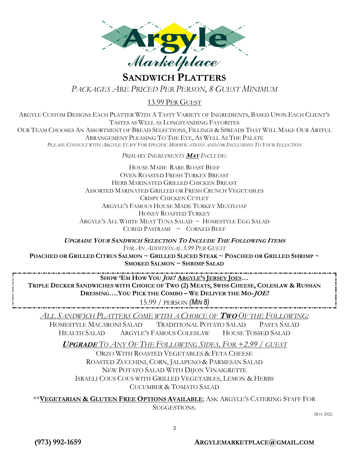

# **SANDWICH PLATTERS**

*PACKAGES ARE PRICED PER PERSON, 8 GUEST MINIMUM*

### 13.99 PER GUEST

ARGYLE CUSTOM DESIGNS EACH PLATTER WITH A TASTY VARIETY OF INGREDIENTS, BASED UPON EACH CLIENT'S TASTES AS WELL AS LONGSTANDING FAVORITES OUR TEAM CHOOSES AN ASSORTMENT OF BREAD SELECTIONS, FILLINGS & SPREADS THAT WILL MAKE OUR ARTFUL ARRANGEMENT PLEASING TO THE EYE, AS WELL AS THE PALATE PLEASE CONSULT WITH ARGYLE STAFF FOR SPECIFIC MODIFICATIONS AND/OR INCLUSIONS TO YOUR SELECTION

*PRIMARY INGREDIENTS* **MAY** *INCLUDE:*

HOUSE MADE RARE ROAST BEEF OVEN ROASTED FRESH TURKEY BREAST HERB MARINATED GRILLED CHICKEN BREAST ASSORTED MARINATED GRILLED OR FRESH CRUNCH VEGETABLES CRISPY CHICKEN CUTLET ARGYLE'S FAMOUS HOUSE MADE TURKEY MEATLOAF HONEY ROASTED TURKEY ARGYLE'S ALL WHITE MEAT TUNA SALAD ~ HOMESTYLE EGG SALAD  $CURED$  PASTRAMI  $\sim$  CORNED BEEF

**UPGRADE YOUR SANDWICH SELECTION TO INCLUDE THE FOLLOWING ITEMS**  *FOR AN ADDITIONAL 3.99 PER GUEST*

POACHED OR GRILLED CITRUS SALMON ~ GRILLED SLICED STEAK ~ POACHED OR GRILLED SHRIMP ~ **SMOKED SALMON ~ SHRIMP SALAD** 

**SHOW 'EM HOW YOU JOE! ARGYLE'S JERSEY JOES…**

TRIPLE DECKER SANDWICHES WITH CHOICE OF TWO (2) MEATS, SWISS CHEESE, COLESLAW & RUSSIAN **DRESSING….YOU PICK THE COMBO – WE DELIVER THE MO-JOE!** 

15.99 / PERSON *(MIN 8)* 

*ALL SANDWICH PLATTERS COME WITH A CHOICE OF* **TWO** *OF THE FOLLOWING:*

HOMESTYLE MACARONI SALAD TRADITIONAL POTATO SALAD PASTA SALAD HEALTH SALAD ARGYLE'S FAMOUS COLESLAW HOUSE TOSSED SALAD

**<sup>U</sup>PGRADE** *TO ANY OF THE FOLLOWING SIDES, FOR +2.99 / GUEST*

ORZO WITH ROASTED VEGETABLES & FETA CHEESE ROASTED ZUCCHINI, CORN, JALAPENO & PARMESAN SALAD NEW POTATO SALAD WITH DIJON VINAIGRETTE ISRAELI COUS COUS WITH GRILLED VEGETABLES, LEMON & HERBS CUCUMBER & TOMATO SALAD

\*\***VEGETARIAN & GLUTEN FREE OPTIONS AVAILABLE**; ASK ARGYLE'S CATERING STAFF FOR SUGGESTIONS.

MAY 2022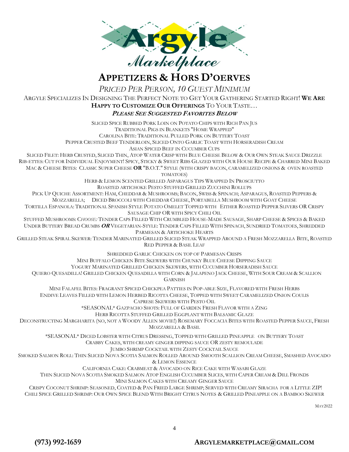

*PRICED PER PERSON, 10 GUEST MINIMUM* 

ARGYLE SPECIALIZES IN DESIGNING THE PERFECT NOTE TO GET YOUR GATHERING STARTED RIGHT! **WE ARE HAPPY TO CUSTOMIZE OUR OFFERINGS** TO YOUR TASTE…

#### **PLEASE SEE SUGGESTED FAVORITES BELOW**

SLICED SPICE RUBBED PORK LOIN ON POTATO CHIPS WITH RICH PAN JUS TRADITIONAL PIGS IN BLANKETS "HOME WRAPPED" CAROLINA BITE: TRADITIONAL PULLED PORK ON BUTTERY TOAST PEPPER CRUSTED BEEF TENDERLOIN, SLICED ONTO GARLIC TOAST WITH HORSERADISH CREAM ASIAN SPICED BEEF IN CUCUMBER CUPS

SLICED FILET: HERB CRUSTED, SLICED THIN, ATOP WATER CRISP WITH BLUE CHEESE BELOW & OUR OWN STEAK SAUCE DRIZZLE RIB-ETTES: CUT FOR INDIVIDUAL ENJOYMENT! SPICY, STICKY & SWEET RIBS GLAZED WITH OUR HOUSE RECIPE & CHARRED MINI BAKED MAC & CHEESE BITES: CLASSIC SUPER CHEESE **OR** "B.O.T." STYLE (WITH CRISPY BACON, CARAMELIZED ONIONS & OVEN ROASTED TOMATOES)

HERB & LEMON SCENTED GRILLED ASPARAGUS TIPS WRAPPED IN PROSCIUTTO

ROASTED ARTICHOKE PESTO STUFFED GRILLED ZUCCHINI ROLLUPS

PICK UP QUICHE ASSORTMENT: HAM, CHEDDAR & MUSHROOMS; BACON, SWISS & SPINACH; ASPARAGUS, ROASTED PEPPERS & MOZZARELLA; DICED BROCCOLI WITH CHEDDAR CHEESE, PORTABELLA MUSHROOM WITH GOAT CHEESE TORTILLA ESPANOLA: TRADITIONAL SPANISH STYLE POTATO OMELET TOPPED WITH EITHER ROASTED PEPPER SLIVERS OR CRISPY

SAUSAGE CHIP OR WITH SPICY CHILI OIL

STUFFED MUSHROOMS: C*HOOSE:* TENDER CAPS FILLED WITH CRUMBLED HOUSE-MADE SAUSAGE, SHARP CHEESE & SPICES & BAKED UNDER BUTTERY BREAD CRUMBS **OR** VEGETARIAN-STYLE: TENDER CAPS FILLED WITH SPINACH, SUNDRIED TOMATOES, SHREDDED PARMESAN & ARTICHOKE HEARTS

GRILLED STEAK SPIRAL SKEWER: TENDER MARINATED GRILLED SLICED STEAK WRAPPED AROUND A FRESH MOZZARELLA BITE, ROASTED RED PEPPER & BASIL LEAF

SHREDDED GARLIC CHICKEN ON TOP OF PARMESAN CRISPS

MINI BUFFALO CHICKEN BITE SKEWERS WITH CHUNKY BLUE CHEESE DIPPING SAUCE

YOGURT MARINATED GRILLED CHICKEN SKEWERS, WITH CUCUMBER HORSERADISH SAUCE

 QUIERO QUESADILLA! GRILLED CHICKEN QUESADILLA WITH CORN & JALAPENO JACK CHEESE, WITH SOUR CREAM & SCALLION **GARNISH** 

MINI FALAFEL BITES: FRAGRANT SPICED CHICKPEA PATTIES IN POP-ABLE SIZE, FLAVORED WITH FRESH HERBS ENDIVE LEAVES FILLED WITH LEMON HERBED RICOTTA CHEESE, TOPPED WITH SWEET CARAMELIZED ONION COULIS

CAPRESE SKEWERS WITH PESTO OIL

\*SEASONAL\* GAZPACHO SHOTS: FULL OF GARDEN FRESH FLAVOR WITH A ZING

HERB RICOTTA STUFFED GRILLED EGGPLANT WITH BALSAMIC GLAZE

DECONSTRUCTING MARGHARITA (NO, NOT A WOODY ALLEN MOVIE!) ROSEMARY FOCCACIA BITES WITH ROASTED PEPPER SAUCE, FRESH MOZZARELLA & BASIL

\*SEASONAL\* DICED LOBSTER WITH CITRUS DRESSING, TOPPED WITH GRILLED PINEAPPLE ON BUTTERY TOAST

CRABBY CAKES, WITH CREAMY GINGER DIPPING SAUCE OR ZESTY REMOULADE

JUMBO SHRIMP COCKTAIL WITH ZESTY COCKTAIL SAUCE

SMOKED SALMON ROLL: THIN SLICED NOVA SCOTIA SALMON ROLLED AROUND SMOOTH SCALLION CREAM CHEESE, SMASHED AVOCADO & LEMON ESSENCE

CALIFORNIA CAKE: CRABMEAT & AVOCADO ON RICE CAKE WITH WASABI GLAZE

THIN SLICED NOVA SCOTIA SMOKED SALMON ATOP ENGLISH CUCUMBER SLICES, WITH CAPER CREAM & DILL FRONDS MINI SALMON CAKES WITH CREAMY GINGER SAUCE

 CRISPY COCONUT SHRIMP: SEASONED, COATED & PAN FRIED LARGE SHRIMP; SERVED WITH CREAMY SIRACHA FOR A LITTLE ZIP! CHILI SPICE GRILLED SHRIMP: OUR OWN SPICE BLEND WITH BRIGHT CITRUS NOTES & GRILLED PINEAPPLE ON A BAMBOO SKEWER

MAY2022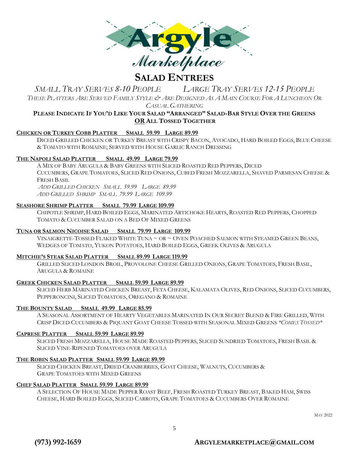

*SMALL TRAY SERVES 8-10 PEOPLE LARGE TRAY SERVES 12-15 PEOPLE*  THESE PLATTERS ARE SERVED FAMILY STYLE & ARE DESIGNED AS A MAIN COURSE FOR A LUNCHEON OR

*CASUAL GATHERING*

#### PLEASE INDICATE IF YOU'D LIKE YOUR SALAD "ARRANGED" SALAD-BAR STYLE OVER THE GREENS **OR ALL TOSSED TOGETHER**

#### **CHICKEN OR TURKEY COBB PLATTER SMALL 59.99 LARGE 89.99**

DICED GRILLED CHICKEN OR TURKEY BREAST WITH CRISPY BACON, AVOCADO, HARD BOILED EGGS, BLUE CHEESE & TOMATO WITH ROMAINE; SERVED WITH HOUSE GARLIC RANCH DRESSING

#### **THE NAPOLI SALAD PLATTER SMALL 49.99 LARGE 79.99**

A MIX OF BABY ARUGULA & BABY GREENS WITH SLICED ROASTED RED PEPPERS, DICED CUCUMBERS, GRAPE TOMATOES, SLICED RED ONIONS, CUBED FRESH MOZZARELLA, SHAVED PARMESAN CHEESE & FRESH BASIL *ADD GRILLED CHICKEN SMALL 59.99 LARGE 89.99* 

*ADD GRILLED SHRIMP SMALL 79.99 LARGE 109.99*

#### **SEASHORE SHRIMP PLATTER SMALL 79.99 LARGE 109.99**

CHIPOTLE SHRIMP, HARD BOILED EGGS, MARINATED ARTICHOKE HEARTS, ROASTED RED PEPPERS, CHOPPED TOMATO & CUCUMBER SALAD ON A BED OF MIXED GREENS

#### **TUNA OR SALMON NICOISE SALAD SMALL 79.99 LARGE 109.99**

VINAIGRETTE-TOSSED FLAKED WHITE TUNA ~ OR ~ OVEN POACHED SALMON WITH STEAMED GREEN BEANS, WEDGES OF TOMATO, YUKON POTATOES, HARD BOILED EGGS, GREEK OLIVES & ARUGULA

#### **MITCHIE'S STEAK SALAD PLATTER SMALL 89.99 LARGE 119.99**

GRILLED SLICED LONDON BROIL, PROVOLONE CHEESE GRILLED ONIONS, GRAPE TOMATOES, FRESH BASIL, ARUGULA & ROMAINE

#### **GREEK CHICKEN SALAD PLATTER SMALL 59.99 LARGE 89.99**

SLICED HERB MARINATED CHICKEN BREAST, FETA CHEESE, KALAMATA OLIVES, RED ONIONS, SLICED CUCUMBERS, PEPPERONCINI, SLICED TOMATOES, OREGANO & ROMAINE

#### **THE BOUNTY SALAD SMALL 49.99 LARGE 85.99**

A SEASONAL ASSORTMENT OF HEARTY VEGETABLES MARINATED IN OUR SECRET BLEND & FIRE GRILLED, WITH CRISP DICED CUCUMBERS & PIQUANT GOAT CHEESE TOSSED WITH SEASONAL MIXED GREENS *\*COMES TOSSED\**

#### **CAPRESE PLATTER SMALL 59.99 LARGE 89.99**

SLICED FRESH MOZZARELLA, HOUSE MADE ROASTED PEPPERS, SLICED SUNDRIED TOMATOES, FRESH BASIL & SLICED VINE-RIPENED TOMATOES OVER ARUGULA

#### **THE ROBIN SALAD PLATTER SMALL 59.99 LARGE 89.99**

SLICED CHICKEN BREAST, DRIED CRANBERRIES, GOAT CHEESE, WALNUTS, CUCUMBERS & GRAPE TOMATOES WITH MIXED GREENS

#### **CHEF SALAD PLATTER SMALL 59.99 LARGE 89.99**

A SELECTION OF HOUSE MADE PEPPER ROAST BEEF, FRESH ROASTED TURKEY BREAST, BAKED HAM, SWISS CHEESE, HARD BOILED EGGS, SLICED CARROTS, GRAPE TOMATOES & CUCUMBERS OVER ROMAINE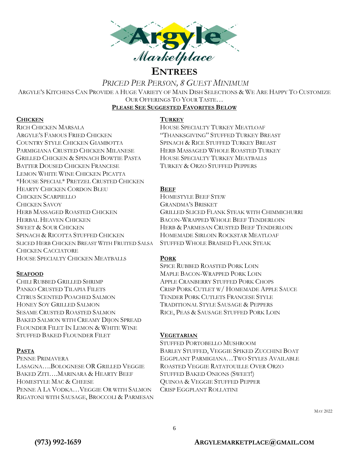

*PRICED PER PERSON, 8 GUEST MINIMUM*

ARGYLE'S KITCHENS CAN PROVIDE A HUGE VARIETY OF MAIN DISH SELECTIONS & WE ARE HAPPY TO CUSTOMIZE OUR OFFERINGS TO YOUR TASTE…

#### **PLEASE SEE SUGGESTED FAVORITES BELOW**

#### **CHICKEN TURKEY**

RICH CHICKEN MARSALA HOUSE SPECIALTY TURKEY MEATLOAF ARGYLE'S FAMOUS FRIED CHICKEN "THANKSGIVING" STUFFED TURKEY BREAST COUNTRY STYLE CHICKEN GIAMBOTTA SPINACH & RICE STUFFED TURKEY BREAST PARMIGIANA CRUSTED CHICKEN MILANESE HERB MASSAGED WHOLE ROASTED TURKEY GRILLED CHICKEN & SPINACH BOWTIE PASTA HOUSE SPECIALTY TURKEY MEATBALLS BATTER DOUSED CHICKEN FRANCESE TURKEY & ORZO STUFFED PEPPERS LEMON WHITE WINE CHICKEN PICATTA \*HOUSE SPECIAL\* PRETZEL CRUSTED CHICKEN HEARTY CHICKEN CORDON BLEU **BEEF** CHICKEN SCARPIELLO HOMESTYLE BEEF STEW CHICKEN SAVOY GRANDMA'S BRISKET HERBAL HEAVEN CHICKEN BACON-WRAPPED WHOLE BEEF TENDERLOIN SWEET & SOUR CHICKEN HERB & PARMESAN CRUSTED BEEF TENDERLOIN SPINACH & RICOTTA STUFFED CHICKEN HOMEMADE SIRLOIN ROCKSTAR MEATLOAF SLICED HERB CHICKEN BREAST WITH FRUITED SALSA STUFFED WHOLE BRAISED FLANK STEAK CHICKEN CACCIATORE HOUSE SPECIALTY CHICKEN MEATBALLS **PORK**

CHILI RUBBED GRILLED SHRIMP APPLE CRANBERRY STUFFED PORK CHOPS CITRUS SCENTED POACHED SALMON TENDER PORK CUTLETS FRANCESE STYLE HONEY SOY GRILLED SALMON TRADITIONAL STYLE SAUSAGE & PEPPERS SESAME CRUSTED ROASTED SALMON RICE, PEAS & SAUSAGE STUFFED PORK LOIN BAKED SALMON WITH CREAMY DIJON SPREAD FLOUNDER FILET IN LEMON & WHITE WINE STUFFED BAKED FLOUNDER FILET **VEGETARIAN**

LASAGNA….BOLOGNESE OR GRILLED VEGGIE ROASTED VEGGIE RATATOUILLE OVER ORZO BAKED ZITI....MARINARA & HEARTY BEEF STUFFED BAKED ONIONS (SWEET!) HOMESTYLE MAC & CHEESE **CHEESE** QUINOA & VEGGIE STUFFED PEPPER PENNE A LA VODKA…VEGGIE OR WITH SALMON CRISP EGGPLANT ROLLATINI RIGATONI WITH SAUSAGE, BROCCOLI & PARMESAN

HERB MASSAGED ROASTED CHICKEN GRILLED SLICED FLANK STEAK WITH CHIMMICHURRI

SPICE RUBBED ROASTED PORK LOIN **SEAFOOD** MAPLE BACON-WRAPPED PORK LOIN PANKO CRUSTED TILAPIA FILETS CRISP PORK CUTLET W/ HOMEMADE APPLE SAUCE

STUFFED PORTOBELLO MUSHROOM **PASTA** BARLEY STUFFED, VEGGIE SPIKED ZUCCHINI BOAT PENNE PRIMAVERA EGGPLANT PARMIGIANA…TWO STYLES AVAILABLE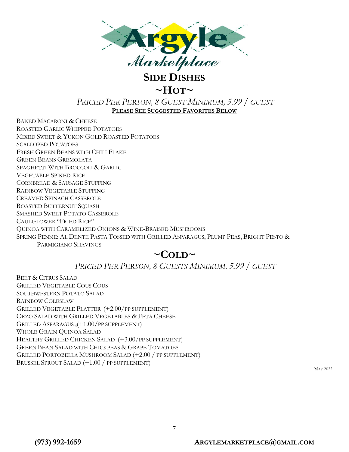

# $\sim$ **HOT** $\sim$

### *PRICED PER PERSON, 8 GUEST MINIMUM, 5.99 / GUEST* **PLEASE SEE SUGGESTED FAVORITES BELOW**

BAKED MACARONI & CHEESE ROASTED GARLIC WHIPPED POTATOES MIXED SWEET & YUKON GOLD ROASTED POTATOES SCALLOPED POTATOES FRESH GREEN BEANS WITH CHILI FLAKE GREEN BEANS GREMOLATA SPAGHETTI WITH BROCCOLI & GARLIC VEGETABLE SPIKED RICE CORNBREAD & SAUSAGE STUFFING RAINBOW VEGETABLE STUFFING CREAMED SPINACH CASSEROLE ROASTED BUTTERNUT SQUASH SMASHED SWEET POTATO CASSEROLE CAULIFLOWER "FRIED RICE" QUINOA WITH CARAMELIZED ONIONS & WINE-BRAISED MUSHROOMS SPRING PENNE: AL DENTE PASTA TOSSED WITH GRILLED ASPARAGUS, PLUMP PEAS, BRIGHT PESTO & PARMIGIANO SHAVINGS

# $\sim$ COLD $\sim$

## *PRICED PER PERSON, 8 GUESTS MINIMUM, 5.99 / GUEST*

BEET & CITRUS SALAD GRILLED VEGETABLE COUS COUS SOUTHWESTERN POTATO SALAD RAINBOW COLESLAW GRILLED VEGETABLE PLATTER (+2.00/PP SUPPLEMENT) ORZO SALAD WITH GRILLED VEGETABLES & FETA CHEESE GRILLED ASPARAGUS ((+1.00/PP SUPPLEMENT) WHOLE GRAIN QUINOA SALAD HEALTHY GRILLED CHICKEN SALAD (+3.00/PP SUPPLEMENT) GREEN BEAN SALAD WITH CHICKPEAS & GRAPE TOMATOES GRILLED PORTOBELLA MUSHROOM SALAD (+2.00 / PP SUPPLEMENT) BRUSSEL SPROUT SALAD (+1.00 / PP SUPPLEMENT)

MAY 2022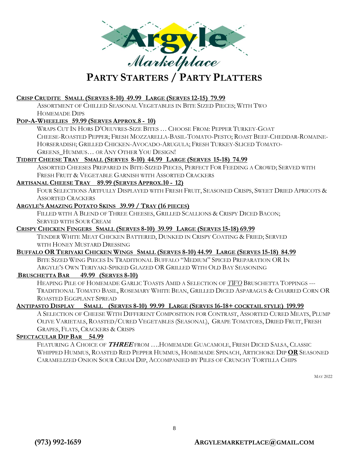

#### **CRISP CRUDITE SMALL (SERVES 8-10) 49.99 LARGE (SERVES 12-15) 79.99**

ASSORTMENT OF CHILLED SEASONAL VEGETABLES IN BITE SIZED PIECES; WITH TWO HOMEMADE DIPS

#### **POP-A-WHEELIES 59.99 (SERVES APPROX.8 - 10)**

WRAPS CUT IN HORS D'OEUVRES-SIZE BITES … CHOOSE FROM: PEPPER TURKEY-GOAT CHEESE-ROASTED PEPPER; FRESH MOZZARELLA-BASIL-TOMATO-PESTO; ROAST BEEF-CHEDDAR-ROMAINE-HORSERADISH; GRILLED CHICKEN-AVOCADO-ARUGULA; FRESH TURKEY-SLICED TOMATO-GREENS\_HUMMUS… *OR* ANY OTHER YOU DESIGN!

#### **TIDBIT CHEESE TRAY SMALL (SERVES 8-10) 44.99 LARGE (SERVES 15-18) 74.99**

ASSORTED CHEESES PREPARED IN BITE-SIZED PIECES, PERFECT FOR FEEDING A CROWD; SERVED WITH FRESH FRUIT & VEGETABLE GARNISH WITH ASSORTED CRACKERS

#### **ARTISANAL CHEESE TRAY 89.99 (SERVES APPROX.10 - 12)**

FOUR SELECTIONS ARTFULLY DISPLAYED WITH FRESH FRUIT, SEASONED CRISPS, SWEET DRIED APRICOTS & ASSORTED CRACKERS

#### **ARGYLE'S AMAZING POTATO SKINS 39.99 / TRAY (16 PIECES)**

FILLED WITH A BLEND OF THREE CHEESES, GRILLED SCALLIONS & CRISPY DICED BACON; SERVED WITH SOUR CREAM

#### **CRISPY CHICKEN FINGERS SMALL (SERVES 8-10) 39.99 LARGE (SERVES 15-18) 69.99**

TENDER WHITE MEAT CHICKEN BATTERED, DUNKED IN CRISPY COATING & FRIED; SERVED WITH HONEY MUSTARD DRESSING

#### BUFFALO OR TERIYAKI CHICKEN WINGS SMALL (SERVES 8-10) 44.99 LARGE (SERVES 15-18) 84.99

BITE SIZED WING PIECES IN TRADITIONAL BUFFALO "MEDIUM" SPICED PREPARATION OR IN ARGYLE'S OWN TERIYAKI-SPIKED GLAZED OR GRILLED WITH OLD BAY SEASONING

#### **BRUSCHETTA BAR 49.99 (SERVES 8-10)**

HEAPING PILE OF HOMEMADE GARLIC TOASTS AMID A SELECTION OF *TWO* BRUSCHETTA TOPPINGS --- TRADITIONAL TOMATO BASIL, ROSEMARY WHITE BEAN, GRILLED DICED ASPARAGUS & CHARRED CORN OR ROASTED EGGPLANT SPREAD

#### ANTIPASTO DISPLAY SMALL (SERVES 8-10) 99.99 LARGE (SERVES 16-18+ COCKTAIL STYLE) 199.99

A SELECTION OF CHEESE WITH DIFFERENT COMPOSITION FOR CONTRAST, ASSORTED CURED MEATS, PLUMP OLIVE VARIETALS, ROASTED/CURED VEGETABLES (SEASONAL), GRAPE TOMATOES, DRIED FRUIT, FRESH GRAPES, FLATS, CRACKERS & CRISPS

#### **SPECTACULAR DIP BAR 54.99**

FEATURING A CHOICE OF **THREE** FROM ….HOMEMADE GUACAMOLE, FRESH DICED SALSA, CLASSIC WHIPPED HUMMUS, ROASTED RED PEPPER HUMMUS, HOMEMADE SPINACH, ARTICHOKE DIP **OR** SEASONED CARAMELIZED ONION SOUR CREAM DIP, ACCOMPANIED BY PILES OF CRUNCHY TORTILLA CHIPS

MAY 2022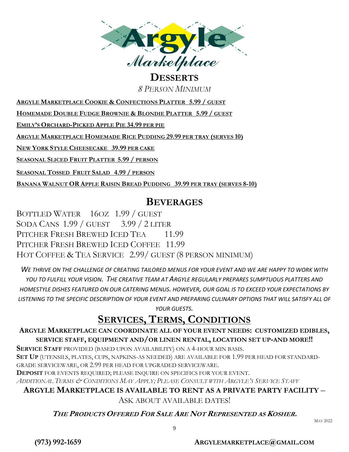

# **DESSERTS**

*8 PERSON MINIMUM*

**ARGYLE MARKETPLACE COOKIE & CONFECTIONS PLATTER 5.99 / GUEST**

**HOMEMADE DOUBLE FUDGE BROWNIE & BLONDIE PLATTER 5.99 / GUEST**

**EMILY'S ORCHARD-PICKED APPLE PIE 34.99 PER PIE**

**ARGYLE MARKETPLACE HOMEMADE RICE PUDDING 29.99 PER TRAY (SERVES 10)**

**NEW YORK STYLE CHEESECAKE 39.99 PER CAKE**

**SEASONAL SLICED FRUIT PLATTER 5.99 / PERSON**

**SEASONAL TOSSED FRUIT SALAD 4.99 / PERSON**

**BANANA WALNUT OR APPLE RAISIN BREAD PUDDING 39.99 PER TRAY (SERVES 8-10)**

## **BEVERAGES**

BOTTLED WATER 16OZ 1.99 / GUEST SODA CANS 1.99 / GUEST 3.99 / 2 LITER PITCHER FRESH BREWED ICED TEA 11.99 PITCHER FRESH BREWED ICED COFFEE 11.99 HOT COFFEE & TEA SERVICE 2.99/ GUEST (8 PERSON MINIMUM)

*WE THRIVE ON THE CHALLENGE OF CREATING TAILORED MENUS FOR YOUR EVENT AND WE ARE HAPPY TO WORK WITH YOU TO FULFILL YOUR VISION. THE CREATIVE TEAM AT ARGYLE REGULARLY PREPARES SUMPTUOUS PLATTERS AND HOMESTYLE DISHES FEATURED ON OUR CATERING MENUS. HOWEVER, OUR GOAL IS TO EXCEED YOUR EXPECTATIONS BY LISTENING TO THE SPECIFIC DESCRIPTION OF YOUR EVENT AND PREPARING CULINARY OPTIONS THAT WILL SATISFY ALL OF YOUR GUESTS.* 

# **SERVICES, TERMS, CONDITIONS**

### **ARGYLE MARKETPLACE CAN COORDINATE ALL OF YOUR EVENT NEEDS: CUSTOMIZED EDIBLES, SERVICE STAFF, EQUIPMENT AND/OR LINEN RENTAL, LOCATION SET UP-AND MORE!!**

**SERVICE STAFF** PROVIDED (BASED UPON AVAILABILITY) ON A 4-HOUR MIN BASIS.

**SET UP** (UTENSILS, PLATES, CUPS, NAPKINS-AS NEEDED) ARE AVAILABLE FOR 1.99 PER HEAD FOR STANDARD-GRADE SERVICEWARE, OR 2.99 PER HEAD FOR UPGRADED SERVICEWARE.

**DEPOSIT** FOR EVENTS REQUIRED; PLEASE INQUIRE ON SPECIFICS FOR YOUR EVENT.

ADDITIONAL TERMS & CONDITIONS MAY APPLY: PLEASE CONSULT WITH ARGYLE'S SERVICE STAFF

### **ARGYLE MARKETPLACE IS AVAILABLE TO RENT AS A PRIVATE PARTY FACILITY** –

ASK ABOUT AVAILABLE DATES!

#### **THE PRODUCTS OFFERED FOR SALE ARE NOT REPRESENTED AS KOSHER.** <sup>M</sup>AY <sup>2022</sup>

9